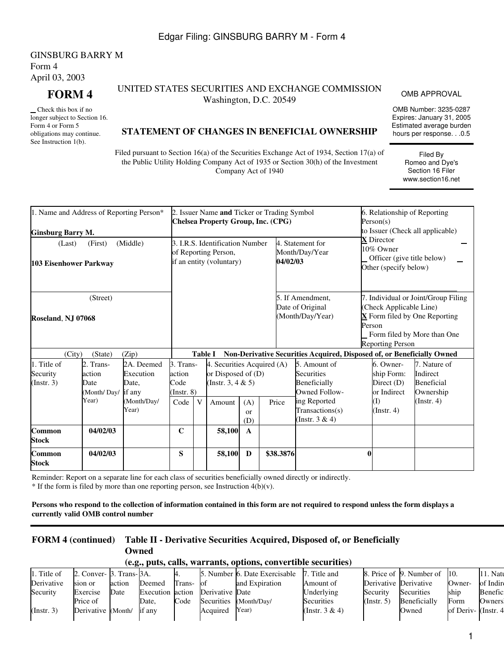GINSBURG BARRY M Form 4 April 03, 2003

 Check this box if no longer subject to Section 16. Form 4 or Form 5 obligations may continue. See Instruction 1(b).

## **FORM 4** UNITED STATES SECURITIES AND EXCHANGE COMMISSION UNITIES AND EXCHANGE COMMISSION OMB APPROVAL<br>Washington, D.C. 20549

OMB Number: 3235-0287 Expires: January 31, 2005 Estimated average burden hours per response. . .0.5

> Filed By Romeo and Dye's Section 16 Filer www.section16.net

## **STATEMENT OF CHANGES IN BENEFICIAL OWNERSHIP**

Filed pursuant to Section 16(a) of the Securities Exchange Act of 1934, Section 17(a) of the Public Utility Holding Company Act of 1935 or Section 30(h) of the Investment Company Act of 1940

| 1. Name and Address of Reporting Person*                     |                                                                                     |                                            |                                                |                | 2. Issuer Name and Ticker or Trading Symbol<br>Chelsea Property Group, Inc. (CPG) |                                                | 6. Relationship of Reporting<br>Person(s)<br>to Issuer (Check all applicable) |                                                                                                                     |  |                                                                                 |                                                                                                                           |
|--------------------------------------------------------------|-------------------------------------------------------------------------------------|--------------------------------------------|------------------------------------------------|----------------|-----------------------------------------------------------------------------------|------------------------------------------------|-------------------------------------------------------------------------------|---------------------------------------------------------------------------------------------------------------------|--|---------------------------------------------------------------------------------|---------------------------------------------------------------------------------------------------------------------------|
| <b>Ginsburg Barry M.</b><br>(Last)<br>103 Eisenhower Parkway | 3. I.R.S. Identification Number<br>of Reporting Person,<br>if an entity (voluntary) |                                            |                                                |                |                                                                                   | 4. Statement for<br>Month/Day/Year<br>04/02/03 |                                                                               | <b>X</b> Director<br>10% Owner<br>Officer (give title below)<br>Other (specify below)                               |  |                                                                                 |                                                                                                                           |
| (Street)<br><b>Roseland, NJ 07068</b>                        |                                                                                     |                                            |                                                |                |                                                                                   |                                                |                                                                               | 5. If Amendment.<br>Date of Original<br>(Month/Day/Year)                                                            |  | (Check Applicable Line)<br>Person<br><b>Reporting Person</b>                    | 7. Individual or Joint/Group Filing<br>$\overline{\mathbf{X}}$ Form filed by One Reporting<br>Form filed by More than One |
| (City)                                                       | (State)                                                                             | (Zip)                                      |                                                | <b>Table I</b> |                                                                                   |                                                |                                                                               | Non-Derivative Securities Acquired, Disposed of, or Beneficially Owned                                              |  |                                                                                 |                                                                                                                           |
| 1. Title of<br>Security<br>(Insert. 3)                       | 2. Trans-<br>action<br>Date<br>(Month/Day/                                          | 2A. Deemed<br>Execution<br>Date.<br>if any | 3. Trans-<br>action<br>Code<br>$($ Instr. $8)$ |                | 4. Securities Acquired (A)<br>or Disposed of (D)<br>(Instr. 3, 4 $& 5$ )          |                                                |                                                                               | 5. Amount of<br>Securities<br>Beneficially<br>Owned Follow-<br>ing Reported<br>Transactions(s)<br>(Instr. $3 & 4$ ) |  | 6. Owner-<br>ship Form:<br>Direct (D)<br>or Indirect<br>(I)<br>$($ Instr. 4 $)$ | 7. Nature of<br>Indirect<br><b>Beneficial</b><br>Ownership                                                                |
|                                                              | Year)                                                                               | (Month/Day/<br>Year)                       | Code                                           | $\mathbf{V}$   | Amount                                                                            | (A)<br>$\alpha$<br>(D)                         | Price                                                                         |                                                                                                                     |  |                                                                                 | $($ Instr. 4 $)$                                                                                                          |
| Common<br><b>Stock</b>                                       | 04/02/03                                                                            |                                            | $\mathbf C$                                    |                | 58,100                                                                            | $\mathbf{A}$                                   |                                                                               |                                                                                                                     |  |                                                                                 |                                                                                                                           |
| Common<br><b>Stock</b>                                       | 04/02/03                                                                            |                                            | S                                              |                | 58,100                                                                            | D                                              | \$38.3876                                                                     |                                                                                                                     |  |                                                                                 |                                                                                                                           |

Reminder: Report on a separate line for each class of securities beneficially owned directly or indirectly.

 $*$  If the form is filed by more than one reporting person, see Instruction  $4(b)(v)$ .

**Persons who respond to the collection of information contained in this form are not required to respond unless the form displays a currently valid OMB control number**

# **FORM 4 (continued) Table II - Derivative Securities Acquired, Disposed of, or Beneficially Owned**

#### **(e.g., puts, calls, warrants, options, convertible securities)**

| 1. Title of | 2. Conver- 3. Trans-3A. |        |                  |        |                 | 5. Number 6. Date Exercisable | 7. Title and      |                       | 8. Price of 9. Number of | 10.                 | 11. Natu       |
|-------------|-------------------------|--------|------------------|--------|-----------------|-------------------------------|-------------------|-----------------------|--------------------------|---------------------|----------------|
| Derivative  | sion or                 | action | Deemed           | Trans- | -lot            | and Expiration                | Amount of         | Derivative Derivative |                          | Owner-              | of Indire      |
| Security    | Exercise                | Date   | Execution action |        | Derivative Date |                               | Underlying        | Security              | Securities               | ship                | <b>Benefic</b> |
|             | Price of                |        | Date.            | Code   |                 | Securities (Month/Day/        | <b>Securities</b> | (Insert, 5)           | Beneficially             | Form                | Ownersl        |
| (Insert. 3) | Derivative (Month/      |        | if any           |        | Acquired        | Year)                         | (Instr. $3 & 4$ ) |                       | Owned                    | of Deriv- (Instr. 4 |                |
|             |                         |        |                  |        |                 |                               |                   |                       |                          |                     |                |